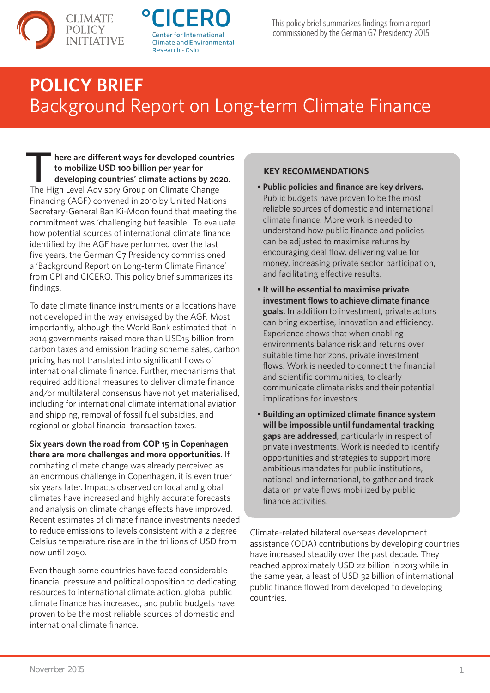



## **POLICY BRIEF** Background Report on Long-term Climate Finance

*T* **here are different ways for developed countries to mobilize USD 100 billion per year for developing countries' climate actions by 2020.** The High Level Advisory Group on Climate Change Financing (AGF) convened in 2010 by United Nations Secretary-General Ban Ki-Moon found that meeting the commitment was 'challenging but feasible'. To evaluate how potential sources of international climate finance identified by the AGF have performed over the last five years, the German G7 Presidency commissioned a 'Background Report on Long-term Climate Finance' from CPI and CICERO. This policy brief summarizes its findings.

To date climate finance instruments or allocations have not developed in the way envisaged by the AGF. Most importantly, although the World Bank estimated that in 2014 governments raised more than USD15 billion from carbon taxes and emission trading scheme sales, carbon pricing has not translated into significant flows of international climate finance. Further, mechanisms that required additional measures to deliver climate finance and/or multilateral consensus have not yet materialised, including for international climate international aviation and shipping, removal of fossil fuel subsidies, and regional or global financial transaction taxes.

**Six years down the road from COP 15 in Copenhagen there are more challenges and more opportunities.** If combating climate change was already perceived as an enormous challenge in Copenhagen, it is even truer six years later. Impacts observed on local and global climates have increased and highly accurate forecasts and analysis on climate change effects have improved. Recent estimates of climate finance investments needed to reduce emissions to levels consistent with a 2 degree Celsius temperature rise are in the trillions of USD from now until 2050.

Even though some countries have faced considerable financial pressure and political opposition to dedicating resources to international climate action, global public climate finance has increased, and public budgets have proven to be the most reliable sources of domestic and international climate finance.

## **KEY RECOMMENDATIONS**

- **Public policies and finance are key drivers.**  Public budgets have proven to be the most reliable sources of domestic and international climate finance. More work is needed to understand how public finance and policies can be adjusted to maximise returns by encouraging deal flow, delivering value for money, increasing private sector participation, and facilitating effective results.
- **It will be essential to maximise private investment flows to achieve climate finance goals.** In addition to investment, private actors can bring expertise, innovation and efficiency. Experience shows that when enabling environments balance risk and returns over suitable time horizons, private investment flows. Work is needed to connect the financial and scientific communities, to clearly communicate climate risks and their potential implications for investors.
- **Building an optimized climate finance system will be impossible until fundamental tracking gaps are addressed**, particularly in respect of private investments. Work is needed to identify opportunities and strategies to support more ambitious mandates for public institutions, national and international, to gather and track data on private flows mobilized by public finance activities.

Climate-related bilateral overseas development assistance (ODA) contributions by developing countries have increased steadily over the past decade. They reached approximately USD 22 billion in 2013 while in the same year, a least of USD 32 billion of international public finance flowed from developed to developing countries.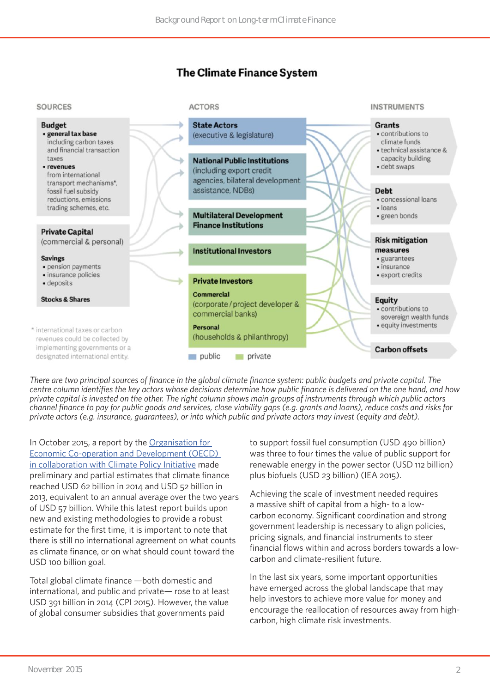## **The Climate Finance System**

**ACTORS** 

## **SOURCES**



*There are two principal sources of finance in the global climate finance system: public budgets and private capital. The centre column identifies the key actors whose decisions determine how public finance is delivered on the one hand, and how private capital is invested on the other. The right column shows main groups of instruments through which public actors channel finance to pay for public goods and services, close viability gaps (e.g. grants and loans), reduce costs and risks for private actors (e.g. insurance, guarantees), or into which public and private actors may invest (equity and debt).*

In October 2015, a report by the Organisation for Economic Co-operation and Development (OECD) in collaboration with Climate Policy Initiative made preliminary and partial estimates that climate finance reached USD 62 billion in 2014 and USD 52 billion in 2013, equivalent to an annual average over the two years of USD 57 billion. While this latest report builds upon new and existing methodologies to provide a robust estimate for the first time, it is important to note that there is still no international agreement on what counts as climate finance, or on what should count toward the USD 100 billion goal.

Total global climate finance —both domestic and international, and public and private— rose to at least USD 391 billion in 2014 (CPI 2015). However, the value of global consumer subsidies that governments paid

to support fossil fuel consumption (USD 490 billion) was three to four times the value of public support for renewable energy in the power sector (USD 112 billion) plus biofuels (USD 23 billion) (IEA 2015).

**INSTRUMENTS** 

Achieving the scale of investment needed requires a massive shift of capital from a high- to a lowcarbon economy. Significant coordination and strong government leadership is necessary to align policies, pricing signals, and financial instruments to steer financial flows within and across borders towards a lowcarbon and climate-resilient future.

In the last six years, some important opportunities have emerged across the global landscape that may help investors to achieve more value for money and encourage the reallocation of resources away from highcarbon, high climate risk investments.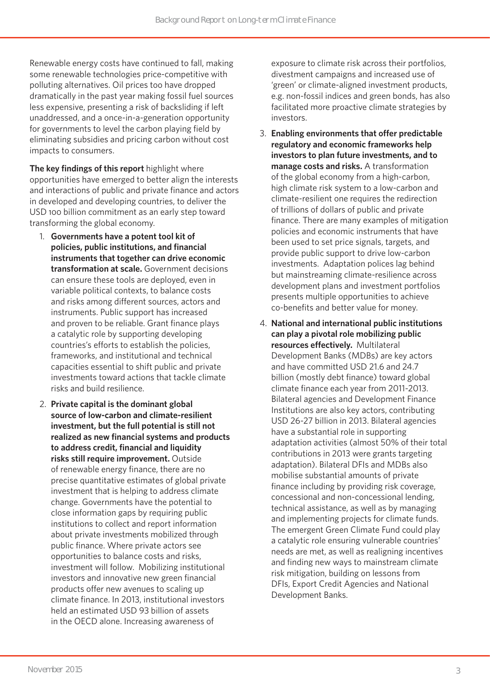Renewable energy costs have continued to fall, making some renewable technologies price-competitive with polluting alternatives. Oil prices too have dropped dramatically in the past year making fossil fuel sources less expensive, presenting a risk of backsliding if left unaddressed, and a once-in-a-generation opportunity for governments to level the carbon playing field by eliminating subsidies and pricing carbon without cost impacts to consumers.

**The key findings of this report** highlight where opportunities have emerged to better align the interests and interactions of public and private finance and actors in developed and developing countries, to deliver the USD 100 billion commitment as an early step toward transforming the global economy.

- 1. **Governments have a potent tool kit of policies, public institutions, and financial instruments that together can drive economic transformation at scale.** Government decisions can ensure these tools are deployed, even in variable political contexts, to balance costs and risks among different sources, actors and instruments. Public support has increased and proven to be reliable. Grant finance plays a catalytic role by supporting developing countries's efforts to establish the policies, frameworks, and institutional and technical capacities essential to shift public and private investments toward actions that tackle climate risks and build resilience.
- 2. **Private capital is the dominant global source of low-carbon and climate-resilient investment, but the full potential is still not realized as new financial systems and products to address credit, financial and liquidity risks still require improvement.** Outside of renewable energy finance, there are no precise quantitative estimates of global private investment that is helping to address climate change. Governments have the potential to close information gaps by requiring public institutions to collect and report information about private investments mobilized through public finance. Where private actors see opportunities to balance costs and risks, investment will follow. Mobilizing institutional investors and innovative new green financial products offer new avenues to scaling up climate finance. In 2013, institutional investors held an estimated USD 93 billion of assets in the OECD alone. Increasing awareness of

exposure to climate risk across their portfolios, divestment campaigns and increased use of 'green' or climate-aligned investment products, e.g. non-fossil indices and green bonds, has also facilitated more proactive climate strategies by investors.

- 3. **Enabling environments that offer predictable regulatory and economic frameworks help investors to plan future investments, and to manage costs and risks.** A transformation of the global economy from a high-carbon, high climate risk system to a low-carbon and climate-resilient one requires the redirection of trillions of dollars of public and private finance. There are many examples of mitigation policies and economic instruments that have been used to set price signals, targets, and provide public support to drive low-carbon investments. Adaptation polices lag behind but mainstreaming climate-resilience across development plans and investment portfolios presents multiple opportunities to achieve co-benefits and better value for money.
- 4. **National and international public institutions can play a pivotal role mobilizing public resources effectively.** Multilateral Development Banks (MDBs) are key actors and have committed USD 21.6 and 24.7 billion (mostly debt finance) toward global climate finance each year from 2011-2013. Bilateral agencies and Development Finance Institutions are also key actors, contributing USD 26-27 billion in 2013. Bilateral agencies have a substantial role in supporting adaptation activities (almost 50% of their total contributions in 2013 were grants targeting adaptation). Bilateral DFIs and MDBs also mobilise substantial amounts of private finance including by providing risk coverage, concessional and non-concessional lending, technical assistance, as well as by managing and implementing projects for climate funds. The emergent Green Climate Fund could play a catalytic role ensuring vulnerable countries' needs are met, as well as realigning incentives and finding new ways to mainstream climate risk mitigation, building on lessons from DFIs, Export Credit Agencies and National Development Banks.